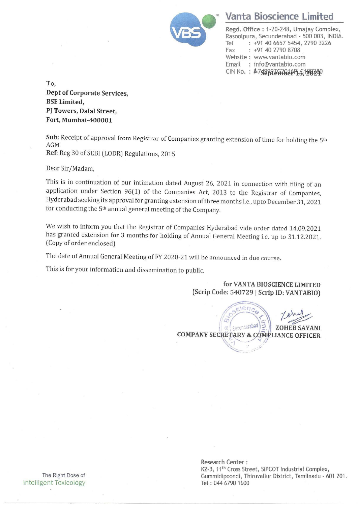

# <u>Vanta Bioscie</u> Vanta Bioscience Limited

Regd. Office : 1-20-248, Umajay Complex, Rasoolpura, Secunderabad - 500 003, INDIA. Tel : +91 40 6657 5454, 2790 3226 Fax : +91 40 2790 8708 Website : www.vantabio.com Email : info@vantabio.com CIN No.: 4758025677066PL5,120230

To, Dept of Corporate Services, BSE Limited, PJ Towers, Dalal Street, Fort, Mumbai-400001

Sub: Receipt of approval from Registrar of Companies granting extension of time for holding the 5<sup>th</sup> AGM

Ref: Reg 30 of SEBI (LODR) Regulations, 2015

Dear Sir/Madam,

This is in continuation of our intimation dated August 26, 2021 in connection with filing of an application under Section 96(1) of the Companies Act, 2013 to the Registrar of Companies, Hyderabad seeking its approval for granting extension of three months i.e., upto December 31, 2021 for conducting the 5<sup>th</sup> annual general meeting of the Company.

We wish to inform you that the Registrar of Companies Hyderabad vide order dated 14.09.2021 has granted extension for 3 months for holding of Annual General Meeting i.e. up to 31.12.2021. (Copy of order enclosed) We wish to inform you that the Regi<br>has granted extension for 3 months<br>(Copy of order enclosed)<br>The date of Annual General Meeting c<br>This is for your information and disse<br> $\frac{1}{2}$ <br> $\frac{1}{2}$ <br> $\frac{1}{2}$ <br> $\frac{1}{2}$ <br> $\frac{1}{2}$ <br>

The date of Annual General Meeting of FY 2020-21 will be announced in due course.

This is for your information and dissemination to public.

for VANTA BIOSCIENCE LIMITED (Scrip Code: 540729 | Scrip ID: VANTABIO)

ZOHEB SAYANI COMPANY SECRETARY & COMPLIANCE OFFICER El badata<sub>t nu</sub>

Intelligent Toxicology Tel: 044 6790 1600

Research Center : K2-B, 11<sup>th</sup> Cross Street, SIPCOT Industrial Complex, The Right Dose of The Right Dose of The Right Dose of Gummidipoondi, Thiruvallur District, Tamilnadu - 601 201.